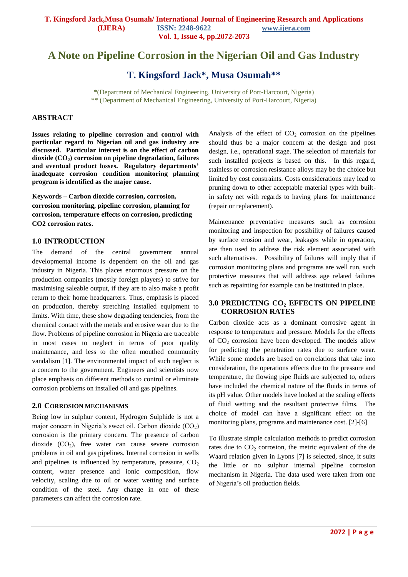# **A Note on Pipeline Corrosion in the Nigerian Oil and Gas Industry**

**T. Kingsford Jack\*, Musa Osumah\*\***

\*(Department of Mechanical Engineering, University of Port-Harcourt, Nigeria) \*\* (Department of Mechanical Engineering, University of Port-Harcourt, Nigeria)

# **ABSTRACT**

**Issues relating to pipeline corrosion and control with particular regard to Nigerian oil and gas industry are discussed. Particular interest is on the effect of carbon dioxide (CO2) corrosion on pipeline degradation, failures and eventual product losses. Regulatory departments' inadequate corrosion condition monitoring planning program is identified as the major cause.** 

**Keywords – Carbon dioxide corrosion, corrosion, corrosion monitoring, pipeline corrosion, planning for corrosion, temperature effects on corrosion, predicting CO2 corrosion rates.**

# **1.0 INTRODUCTION**

The demand of the central government annual developmental income is dependent on the oil and gas industry in Nigeria. This places enormous pressure on the production companies (mostly foreign players) to strive for maximising saleable output, if they are to also make a profit return to their home headquarters. Thus, emphasis is placed on production, thereby stretching installed equipment to limits. With time, these show degrading tendencies, from the chemical contact with the metals and erosive wear due to the flow. Problems of pipeline corrosion in Nigeria are traceable in most cases to neglect in terms of poor quality maintenance, and less to the often mouthed community vandalism [1]. The environmental impact of such neglect is a concern to the government. Engineers and scientists now place emphasis on different methods to control or eliminate corrosion problems on installed oil and gas pipelines.

#### **2.0 CORROSION MECHANISMS**

Being low in sulphur content, Hydrogen Sulphide is not a major concern in Nigeria's sweet oil. Carbon dioxide  $(CO<sub>2</sub>)$ corrosion is the primary concern. The presence of carbon dioxide  $(CO_2)$ , free water can cause severe corrosion problems in oil and gas pipelines. Internal corrosion in wells and pipelines is influenced by temperature, pressure,  $CO<sub>2</sub>$ content, water presence and ionic composition, flow velocity, scaling due to oil or water wetting and surface condition of the steel. Any change in one of these parameters can affect the corrosion rate.

Analysis of the effect of  $CO<sub>2</sub>$  corrosion on the pipelines should thus be a major concern at the design and post design, i.e., operational stage. The selection of materials for such installed projects is based on this. In this regard, stainless or corrosion resistance alloys may be the choice but limited by cost constraints. Costs considerations may lead to pruning down to other acceptable material types with builtin safety net with regards to having plans for maintenance (repair or replacement).

Maintenance preventative measures such as corrosion monitoring and inspection for possibility of failures caused by surface erosion and wear, leakages while in operation, are then used to address the risk element associated with such alternatives. Possibility of failures will imply that if corrosion monitoring plans and programs are well run, such protective measures that will address age related failures such as repainting for example can be instituted in place.

#### **3.0 PREDICTING CO<sup>2</sup> EFFECTS ON PIPELINE CORROSION RATES**

Carbon dioxide acts as a dominant corrosive agent in response to temperature and pressure. Models for the effects of CO<sup>2</sup> corrosion have been developed. The models allow for predicting the penetration rates due to surface wear. While some models are based on correlations that take into consideration, the operations effects due to the pressure and temperature, the flowing pipe fluids are subjected to, others have included the chemical nature of the fluids in terms of its pH value. Other models have looked at the scaling effects of fluid wetting and the resultant protective films. The choice of model can have a significant effect on the monitoring plans, programs and maintenance cost. [2]-[6]

To illustrate simple calculation methods to predict corrosion rates due to  $CO<sub>2</sub>$  corrosion, the metric equivalent of the de Waard relation given in Lyons [7] is selected, since, it suits the little or no sulphur internal pipeline corrosion mechanism in Nigeria. The data used were taken from one of Nigeria's oil production fields.